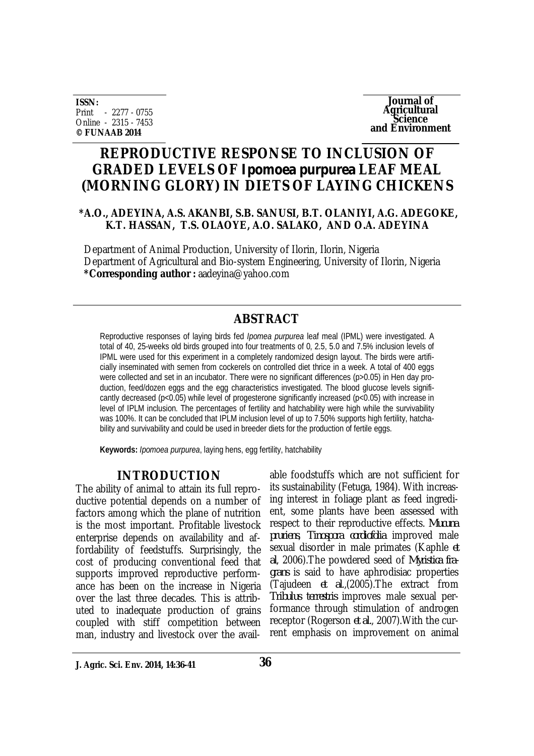**ISSN:** Print - 2277 - 0755 Online - 2315 - 7453 **© FUNAAB 2014**

**Journal of Agricultural Science and Environment**

# **REPRODUCTIVE RESPONSE TO INCLUSION OF GRADED LEVELS OF** *Ipomoea purpurea* **LEAF MEAL (MORNING GLORY) IN DIETS OF LAYING CHICKENS**

#### **\*A.O., ADEYINA, A.S. AKANBI, S.B. SANUSI, B.T. OLANIYI, A.G. ADEGOKE, K.T. HASSAN, T.S. OLAOYE, A.O. SALAKO, AND O.A. ADEYINA**

Department of Animal Production, University of Ilorin, Ilorin, Nigeria Department of Agricultural and Bio-system Engineering, University of Ilorin, Nigeria **\*Corresponding author :** aadeyina@yahoo.com

## **ABSTRACT**

Reproductive responses of laying birds fed *Ipomea purpurea* leaf meal (IPML) were investigated. A total of 40, 25-weeks old birds grouped into four treatments of 0, 2.5, 5.0 and 7.5% inclusion levels of IPML were used for this experiment in a completely randomized design layout. The birds were artificially inseminated with semen from cockerels on controlled diet thrice in a week. A total of 400 eggs were collected and set in an incubator. There were no significant differences (p>0.05) in Hen day production, feed/dozen eggs and the egg characteristics investigated. The blood glucose levels significantly decreased (p<0.05) while level of progesterone significantly increased (p<0.05) with increase in level of IPLM inclusion. The percentages of fertility and hatchability were high while the survivability was 100%. It can be concluded that IPLM inclusion level of up to 7.50% supports high fertility, hatchability and survivability and could be used in breeder diets for the production of fertile eggs.

**Keywords:** *Ipomoea purpurea*, laying hens, egg fertility, hatchability

## **INTRODUCTION**

The ability of animal to attain its full reproductive potential depends on a number of factors among which the plane of nutrition is the most important. Profitable livestock enterprise depends on availability and affordability of feedstuffs. Surprisingly, the cost of producing conventional feed that supports improved reproductive performance has been on the increase in Nigeria over the last three decades. This is attributed to inadequate production of grains coupled with stiff competition between man, industry and livestock over the avail-

able foodstuffs which are not sufficient for its sustainability (Fetuga, 1984). With increasing interest in foliage plant as feed ingredient, some plants have been assessed with respect to their reproductive effects. *Mucuna pruriens*, *Tinospora cordiofolia* improved male sexual disorder in male primates (Kaphle *et al*, 2006).The powdered seed of *Myristica fragrans* is said to have aphrodisiac properties (Tajudeen *et al*.,(2005).The extract from *Tribulus terrestris* improves male sexual performance through stimulation of androgen receptor (Rogerson *et al.*, 2007).With the current emphasis on improvement on animal

**J. Agric. Sci. Env. 2014, 14:36-41**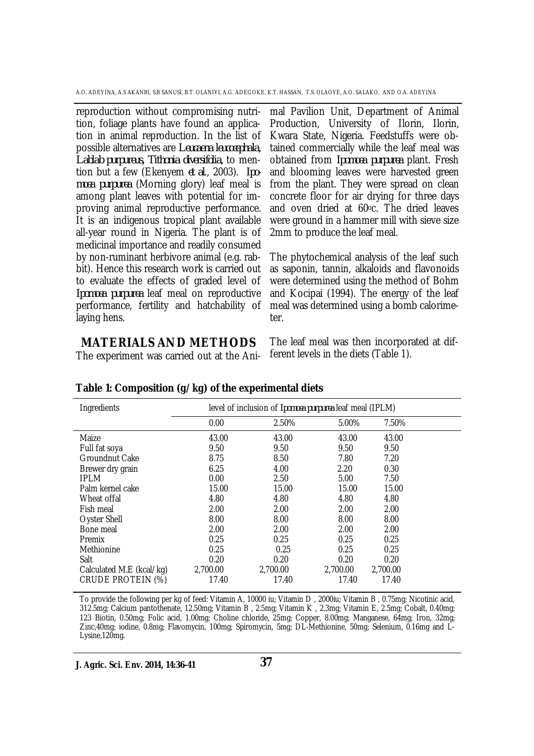A.O, ADEYINA, A.S AKANBI, S.B SANUSI, B.T. OLANIYI, A.G. ADEGOKE, K.T. HASSAN, T.S. OLAOYE, A.O. SALAKO, AND O.A. ADEYINA

reproduction without compromising nutrition, foliage plants have found an application in animal reproduction. In the list of possible alternatives are *Leucaena leucocephala, Lablab purpureus, Tithonia diversifolia,* to mention but a few (Ekenyem *et al*., 2003). *Ipomoea purpurea* (Morning glory) leaf meal is among plant leaves with potential for improving animal reproductive performance. It is an indigenous tropical plant available all-year round in Nigeria. The plant is of medicinal importance and readily consumed by non-ruminant herbivore animal (e.g. rabbit). Hence this research work is carried out to evaluate the effects of graded level of *Ipomoea purpurea* leaf meal on reproductive performance, fertility and hatchability of laying hens.

mal Pavilion Unit, Department of Animal Production, University of Ilorin, Ilorin, Kwara State, Nigeria. Feedstuffs were obtained commercially while the leaf meal was obtained from *Ipomoea purpurea* plant. Fresh and blooming leaves were harvested green from the plant. They were spread on clean concrete floor for air drying for three days and oven dried at 60oc. The dried leaves were ground in a hammer mill with sieve size 2mm to produce the leaf meal.

The phytochemical analysis of the leaf such as saponin, tannin, alkaloids and flavonoids were determined using the method of Bohm and Kocipai (1994). The energy of the leaf meal was determined using a bomb calorimeter.

## **MATERIALS AND METHODS**

The experiment was carried out at the Ani-

The leaf meal was then incorporated at different levels in the diets (Table 1).

| Ingredients              | level of inclusion of Ipomoea purpurea leaf meal (IPLM) |          |          |          |  |
|--------------------------|---------------------------------------------------------|----------|----------|----------|--|
|                          | 0.00                                                    | 2.50%    | 5.00%    | 7.50%    |  |
| Maize                    | 43.00                                                   | 43.00    | 43.00    | 43.00    |  |
| Full fat soya            | 9.50                                                    | 9.50     | 9.50     | 9.50     |  |
| <b>Groundnut Cake</b>    | 8.75                                                    | 8.50     | 7.80     | 7.20     |  |
| Brewer dry grain         | 6.25                                                    | 4.00     | 2.20     | 0.30     |  |
| <b>IPLM</b>              | 0.00                                                    | 2.50     | 5.00     | 7.50     |  |
| Palm kernel cake         | 15.00                                                   | 15.00    | 15.00    | 15.00    |  |
| Wheat offal              | 4.80                                                    | 4.80     | 4.80     | 4.80     |  |
| Fish meal                | 2.00                                                    | 2.00     | 2.00     | 2.00     |  |
| Oyster Shell             | 8.00                                                    | 8.00     | 8.00     | 8.00     |  |
| Bone meal                | 2.00                                                    | 2.00     | 2.00     | 2.00     |  |
| <b>Premix</b>            | 0.25                                                    | 0.25     | 0.25     | 0.25     |  |
| Methionine               | 0.25                                                    | 0.25     | 0.25     | 0.25     |  |
| Salt                     | 0.20                                                    | 0.20     | 0.20     | 0.20     |  |
| Calculated M.E (kcal/kg) | 2,700.00                                                | 2,700.00 | 2,700.00 | 2,700.00 |  |
| <b>CRUDE PROTEIN (%)</b> | 17.40                                                   | 17.40    | 17.40    | 17.40    |  |

#### **Table 1: Composition (g/kg) of the experimental diets**

To provide the following per kg of feed: Vitamin A, 10000 iu; Vitamin D , 2000iu; Vitamin B , 0.75mg; Nicotinic acid, 312.5mg; Calcium pantothenate, 12.50mg; Vitamin B , 2.5mg; Vitamin K , 2.3mg; Vitamin E, 2.5mg; Cobalt, 0.40mg; 123 Biotin, 0.50mg; Folic acid, 1.00mg; Choline chloride, 25mg; Copper, 8.00mg; Manganese, 64mg; Iron, 32mg; Zinc,40mg; iodine, 0.8mg; Flavomycin, 100mg; Spiromycin, 5mg; DL-Methionine, 50mg; Selenium, 0.16mg and L-Lysine,120mg.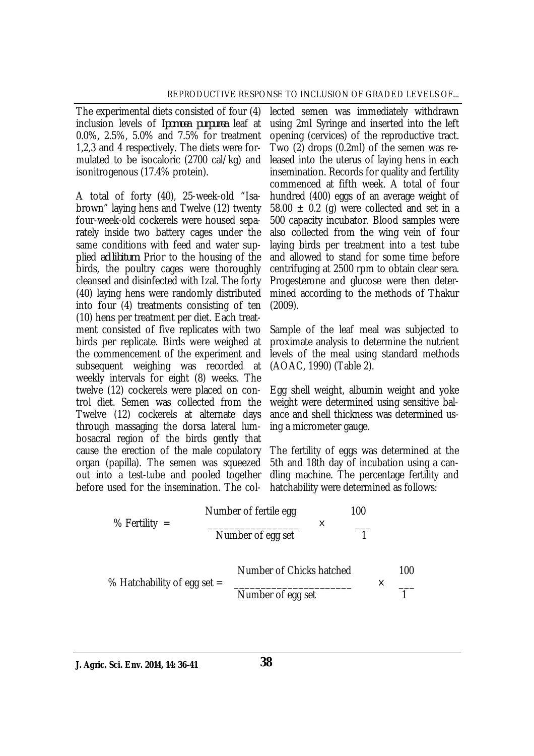The experimental diets consisted of four (4) inclusion levels of *Ipomoea purpurea* leaf at 0.0%, 2.5%, 5.0% and 7.5% for treatment 1,2,3 and 4 respectively. The diets were formulated to be isocaloric (2700 cal/kg) and isonitrogenous (17.4% protein).

A total of forty (40), 25-week-old "Isabrown" laying hens and Twelve (12) twenty four-week-old cockerels were housed separately inside two battery cages under the same conditions with feed and water supplied *ad libitum*. Prior to the housing of the birds, the poultry cages were thoroughly cleansed and disinfected with Izal. The forty (40) laying hens were randomly distributed into four (4) treatments consisting of ten (10) hens per treatment per diet. Each treatment consisted of five replicates with two birds per replicate. Birds were weighed at the commencement of the experiment and subsequent weighing was recorded at weekly intervals for eight (8) weeks. The twelve (12) cockerels were placed on control diet. Semen was collected from the Twelve (12) cockerels at alternate days through massaging the dorsa lateral lumbosacral region of the birds gently that cause the erection of the male copulatory organ (papilla). The semen was squeezed out into a test-tube and pooled together before used for the insemination. The col-

lected semen was immediately withdrawn using 2ml Syringe and inserted into the left opening (cervices) of the reproductive tract. Two (2) drops (0.2ml) of the semen was released into the uterus of laying hens in each insemination. Records for quality and fertility commenced at fifth week. A total of four hundred (400) eggs of an average weight of 58.00  $\pm$  0.2 (g) were collected and set in a 500 capacity incubator. Blood samples were also collected from the wing vein of four laying birds per treatment into a test tube and allowed to stand for some time before centrifuging at 2500 rpm to obtain clear sera. Progesterone and glucose were then determined according to the methods of Thakur (2009).

Sample of the leaf meal was subjected to proximate analysis to determine the nutrient levels of the meal using standard methods (AOAC, 1990) (Table 2).

Egg shell weight, albumin weight and yoke weight were determined using sensitive balance and shell thickness was determined using a micrometer gauge.

The fertility of eggs was determined at the 5th and 18th day of incubation using a candling machine. The percentage fertility and hatchability were determined as follows:

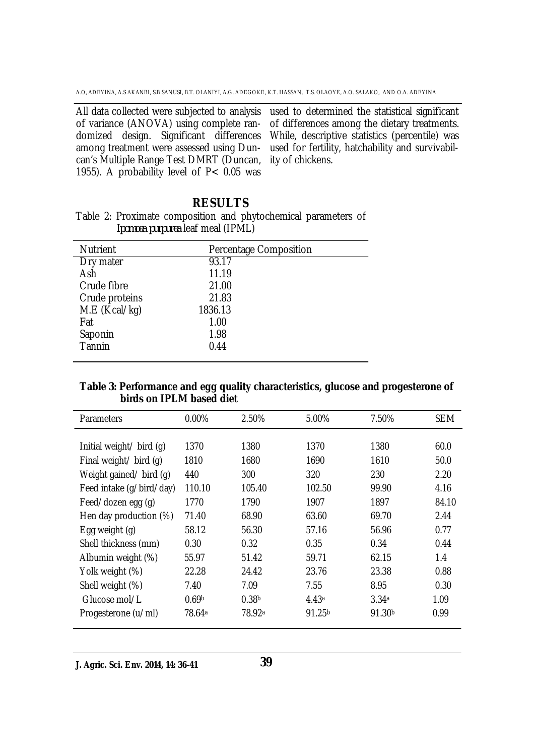among treatment were assessed using Duncan's Multiple Range Test DMRT (Duncan, 1955). A probability level of  $P < 0.05$  was

All data collected were subjected to analysis used to determined the statistical significant of variance (ANOVA) using complete ran-of differences among the dietary treatments. domized design. Significant differences While, descriptive statistics (percentile) was used for fertility, hatchability and survivability of chickens.

## **RESULTS**

|  |                                          | Table 2: Proximate composition and phytochemical parameters of |  |
|--|------------------------------------------|----------------------------------------------------------------|--|
|  | <i>Ipomoea purpurea</i> leaf meal (IPML) |                                                                |  |

| <b>Nutrient</b> | Percentage Composition |
|-----------------|------------------------|
| Dry mater       | 93.17                  |
| Ash             | 11.19                  |
| Crude fibre     | 21.00                  |
| Crude proteins  | 21.83                  |
| M.E (Kcal/kg)   | 1836.13                |
| Fat             | 1.00                   |
| Saponin         | 1.98                   |
| Tannin          | 0.44                   |
|                 |                        |

#### **Table 3: Performance and egg quality characteristics, glucose and progesterone of birds on IPLM based diet**

| <b>Parameters</b>        | $0.00\%$           | 2.50%              | 5.00%              | 7.50%              | <b>SEM</b> |
|--------------------------|--------------------|--------------------|--------------------|--------------------|------------|
|                          |                    |                    |                    |                    |            |
| Initial weight/ bird (q) | 1370               | 1380               | 1370               | 1380               | 60.0       |
| Final weight/ bird (g)   | 1810               | 1680               | 1690               | 1610               | 50.0       |
| Weight gained/ bird (g)  | 440                | 300                | 320                | 230                | 2.20       |
| Feed intake (g/bird/day) | 110.10             | 105.40             | 102.50             | 99.90              | 4.16       |
| Feed/dozen egg (g)       | 1770               | 1790               | 1907               | 1897               | 84.10      |
| Hen day production (%)   | 71.40              | 68.90              | 63.60              | 69.70              | 2.44       |
| Egg weight (g)           | 58.12              | 56.30              | 57.16              | 56.96              | 0.77       |
| Shell thickness (mm)     | 0.30               | 0.32               | 0.35               | 0.34               | 0.44       |
| Albumin weight (%)       | 55.97              | 51.42              | 59.71              | 62.15              | 1.4        |
| Yolk weight (%)          | 22.28              | 24.42              | 23.76              | 23.38              | 0.88       |
| Shell weight (%)         | 7.40               | 7.09               | 7.55               | 8.95               | 0.30       |
| Glucose mol/L            | 0.69 <sup>b</sup>  | 0.38 <sup>b</sup>  | 4.43a              | 3.34a              | 1.09       |
| Progesterone (u/ml)      | 78.64 <sup>a</sup> | 78.92 <sup>a</sup> | 91.25 <sup>b</sup> | 91.30 <sup>b</sup> | 0.99       |

**J. Agric. Sci. Env. 2014, 14: 36-41**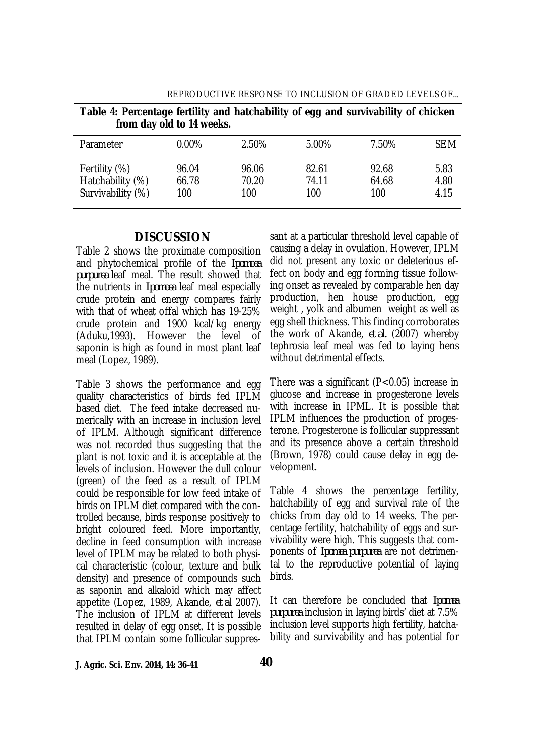| Table 4: Percentage fertility and hatchability of egg and survivability of chicken<br>from day old to 14 weeks. |                       |                       |                       |                       |                      |  |
|-----------------------------------------------------------------------------------------------------------------|-----------------------|-----------------------|-----------------------|-----------------------|----------------------|--|
| Parameter                                                                                                       | $0.00\%$              | 2.50%                 | 5.00%                 | 7.50%                 | <b>SEM</b>           |  |
| Fertility (%)<br>Hatchability (%)<br>Survivability (%)                                                          | 96.04<br>66.78<br>100 | 96.06<br>70.20<br>100 | 82.61<br>74.11<br>100 | 92.68<br>64.68<br>100 | 5.83<br>4.80<br>4.15 |  |

REPRODUCTIVE RESPONSE TO INCLUSION OF GRADED LEVELS OF...

### **DISCUSSION**

Table 2 shows the proximate composition and phytochemical profile of the *Ipomoea purpurea* leaf meal. The result showed that the nutrients in *Ipomoea* leaf meal especially crude protein and energy compares fairly with that of wheat offal which has 19-25% crude protein and 1900 kcal/kg energy (Aduku,1993). However the level of saponin is high as found in most plant leaf meal (Lopez, 1989).

Table 3 shows the performance and egg quality characteristics of birds fed IPLM based diet. The feed intake decreased numerically with an increase in inclusion level of IPLM. Although significant difference was not recorded thus suggesting that the plant is not toxic and it is acceptable at the levels of inclusion. However the dull colour (green) of the feed as a result of IPLM could be responsible for low feed intake of birds on IPLM diet compared with the controlled because, birds response positively to bright coloured feed. More importantly, decline in feed consumption with increase level of IPLM may be related to both physical characteristic (colour, texture and bulk density) and presence of compounds such as saponin and alkaloid which may affect appetite (Lopez, 1989, Akande, *et al* 2007). The inclusion of IPLM at different levels resulted in delay of egg onset. It is possible that IPLM contain some follicular suppres-

sant at a particular threshold level capable of causing a delay in ovulation. However, IPLM did not present any toxic or deleterious effect on body and egg forming tissue following onset as revealed by comparable hen day production, hen house production, egg weight , yolk and albumen weight as well as egg shell thickness. This finding corroborates the work of Akande, *et al.* (2007) whereby tephrosia leaf meal was fed to laying hens without detrimental effects.

There was a significant (P<0.05) increase in glucose and increase in progesterone levels with increase in IPML. It is possible that IPLM influences the production of progesterone. Progesterone is follicular suppressant and its presence above a certain threshold (Brown, 1978) could cause delay in egg development.

Table 4 shows the percentage fertility, hatchability of egg and survival rate of the chicks from day old to 14 weeks. The percentage fertility, hatchability of eggs and survivability were high. This suggests that components of *Ipomea purpurea* are not detrimental to the reproductive potential of laying birds.

It can therefore be concluded that *Ipomea purpurea* inclusion in laying birds' diet at 7.5% inclusion level supports high fertility, hatchability and survivability and has potential for

**J. Agric. Sci. Env. 2014, 14: 36-41**